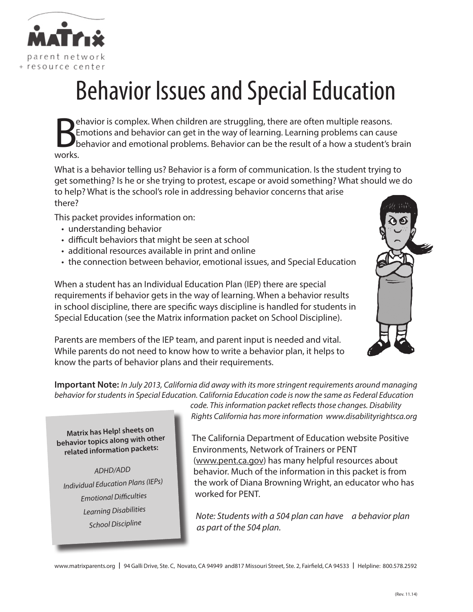

# Behavior Issues and Special Education

B<sub>E</sub> ehavior is complex. When children are struggling, there are often multiple reasons. Emotions and behavior can get in the way of learning. Learning problems can cause behavior and emotional problems. Behavior can be the result of a how a student's brain

What is a behavior telling us? Behavior is a form of communication. Is the student trying to get something? Is he or she trying to protest, escape or avoid something? What should we do to help? What is the school's role in addressing behavior concerns that arise there?

This packet provides information on:

- understanding behavior
- difficult behaviors that might be seen at school
- additional resources available in print and online
- • the connection between behavior, emotional issues, and Special Education

When a student has an Individual Education Plan (IEP) there are special requirements if behavior gets in the way of learning. When a behavior results in school discipline, there are specific ways discipline is handled for students in Special Education (see the Matrix information packet on School Discipline).

Parents are members of the IEP team, and parent input is needed and vital. While parents do not need to know how to write a behavior plan, it helps to know the parts of behavior plans and their requirements.

**Important Note:** *In July 2013, California did away with its more stringent requirements around managing behavior for students in Special Education. California Education code is now the same as Federal Education* 

*code. This information packet reflects those changes. Disability Rights California has more information www.disabilityrightsca.org*

**Matrix has Help! sheets on behavior topics along with other related information packets:**

*ADHD/ADD Individual Education Plans (IEPs) Emotional Difficulties Learning Disabilities School Discipline*

The California Department of Education website Positive Environments, Network of Trainers or PENT (www.pent.ca.gov) has many helpful resources about behavior. Much of the information in this packet is from the work of Diana Browning Wright, an educator who has worked for PENT.

*Note: Students with a 504 plan can have a behavior plan as part of the 504 plan.*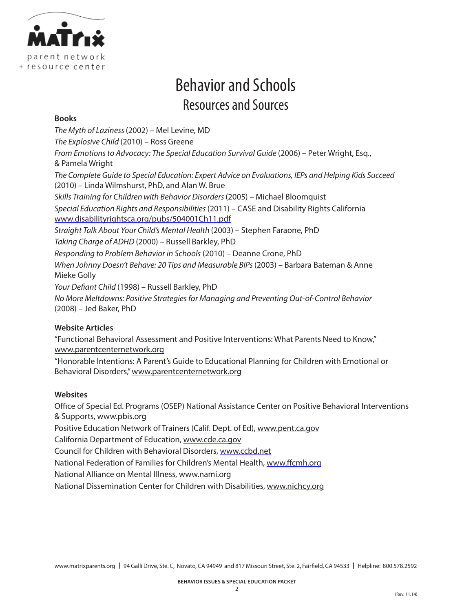

# Behavior and Schools Resources and Sources

### **Books**

*The Myth of Laziness* (2002) – Mel Levine, MD *The Explosive Child* (2010) – Ross Greene *From Emotions to Advocacy: The Special Education Survival Guide* (2006) – Peter Wright, Esq., & Pamela Wright *The Complete Guide to Special Education: Expert Advice on Evaluations, IEPs and Helping Kids Succeed* (2010) – Linda Wilmshurst, PhD, and Alan W. Brue *Skills Training for Children with Behavior Disorders* (2005) – Michael Bloomquist *Special Education Rights and Responsibilities* (2011) – CASE and Disability Rights California www.disabilityrightsca.org/pubs/504001Ch11.pdf *Straight Talk About Your Child's Mental Health* (2003) – Stephen Faraone, PhD *Taking Charge of ADHD* (2000) – Russell Barkley, PhD *Responding to Problem Behavior in Schools* (2010) – Deanne Crone, PhD *When Johnny Doesn't Behave: 20 Tips and Measurable BIPs* (2003) – Barbara Bateman & Anne Mieke Golly *Your Defiant Child* (1998) – Russell Barkley, PhD *No More Meltdowns: Positive Strategies for Managing and Preventing Out-of-Control Behavior*  (2008) – Jed Baker, PhD

### **Website Articles**

"Functional Behavioral Assessment and Positive Interventions: What Parents Need to Know," www.parentcenternetwork.org

"Honorable Intentions: A Parent's Guide to Educational Planning for Children with Emotional or Behavioral Disorders," www.parentcenternetwork.org

### **Websites**

Office of Special Ed. Programs (OSEP) National Assistance Center on Positive Behavioral Interventions & Supports, www.pbis.org

Positive Education Network of Trainers (Calif. Dept. of Ed), www.pent.ca.gov

California Department of Education, www.cde.ca.gov

Council for Children with Behavioral Disorders, www.ccbd.net

National Federation of Families for Children's Mental Health, www.ffcmh.org

National Alliance on Mental Illness, www.nami.org

National Dissemination Center for Children with Disabilities, www.nichcy.org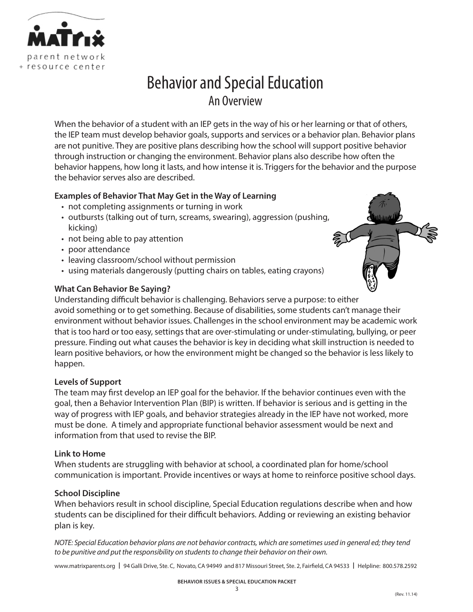

# Behavior and Special Education An Overview

When the behavior of a student with an IEP gets in the way of his or her learning or that of others, the IEP team must develop behavior goals, supports and services or a behavior plan. Behavior plans are not punitive. They are positive plans describing how the school will support positive behavior through instruction or changing the environment. Behavior plans also describe how often the behavior happens, how long it lasts, and how intense it is. Triggers for the behavior and the purpose the behavior serves also are described.

### **Examples of Behavior That May Get in the Way of Learning**

- not completing assignments or turning in work
- outbursts (talking out of turn, screams, swearing), aggression (pushing, kicking)
- not being able to pay attention
- poor attendance
- leaving classroom/school without permission
- using materials dangerously (putting chairs on tables, eating crayons)

### **What Can Behavior Be Saying?**

Understanding difficult behavior is challenging. Behaviors serve a purpose: to either avoid something or to get something. Because of disabilities, some students can't manage their environment without behavior issues. Challenges in the school environment may be academic work that is too hard or too easy, settings that are over-stimulating or under-stimulating, bullying, or peer pressure. Finding out what causes the behavior is key in deciding what skill instruction is needed to learn positive behaviors, or how the environment might be changed so the behavior is less likely to happen.

### **Levels of Support**

The team may first develop an IEP goal for the behavior. If the behavior continues even with the goal, then a Behavior Intervention Plan (BIP) is written. If behavior is serious and is getting in the way of progress with IEP goals, and behavior strategies already in the IEP have not worked, more must be done. A timely and appropriate functional behavior assessment would be next and information from that used to revise the BIP.

### **Link to Home**

When students are struggling with behavior at school, a coordinated plan for home/school communication is important. Provide incentives or ways at home to reinforce positive school days.

### **School Discipline**

When behaviors result in school discipline, Special Education regulations describe when and how students can be disciplined for their difficult behaviors. Adding or reviewing an existing behavior plan is key.

*NOTE: Special Education behavior plans are not behavior contracts, which are sometimes used in general ed; they tend to be punitive and put the responsibility on students to change their behavior on their own.*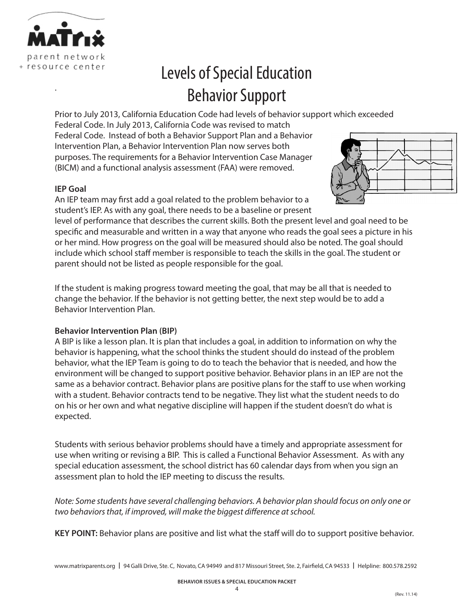

.

# Levels of Special Education Behavior Support

Prior to July 2013, California Education Code had levels of behavior support which exceeded

Federal Code. In July 2013, California Code was revised to match Federal Code. Instead of both a Behavior Support Plan and a Behavior Intervention Plan, a Behavior Intervention Plan now serves both purposes. The requirements for a Behavior Intervention Case Manager (BICM) and a functional analysis assessment (FAA) were removed.

### **IEP Goal**

An IEP team may first add a goal related to the problem behavior to a student's IEP. As with any goal, there needs to be a baseline or present

level of performance that describes the current skills. Both the present level and goal need to be specific and measurable and written in a way that anyone who reads the goal sees a picture in his or her mind. How progress on the goal will be measured should also be noted. The goal should include which school staff member is responsible to teach the skills in the goal. The student or parent should not be listed as people responsible for the goal.

If the student is making progress toward meeting the goal, that may be all that is needed to change the behavior. If the behavior is not getting better, the next step would be to add a Behavior Intervention Plan.

### **Behavior Intervention Plan (BIP)**

A BIP is like a lesson plan. It is plan that includes a goal, in addition to information on why the behavior is happening, what the school thinks the student should do instead of the problem behavior, what the IEP Team is going to do to teach the behavior that is needed, and how the environment will be changed to support positive behavior. Behavior plans in an IEP are not the same as a behavior contract. Behavior plans are positive plans for the staff to use when working with a student. Behavior contracts tend to be negative. They list what the student needs to do on his or her own and what negative discipline will happen if the student doesn't do what is expected.

Students with serious behavior problems should have a timely and appropriate assessment for use when writing or revising a BIP. This is called a Functional Behavior Assessment. As with any special education assessment, the school district has 60 calendar days from when you sign an assessment plan to hold the IEP meeting to discuss the results.

*Note: Some students have several challenging behaviors. A behavior plan should focus on only one or two behaviors that, if improved, will make the biggest difference at school.*

**KEY POINT:** Behavior plans are positive and list what the staff will do to support positive behavior.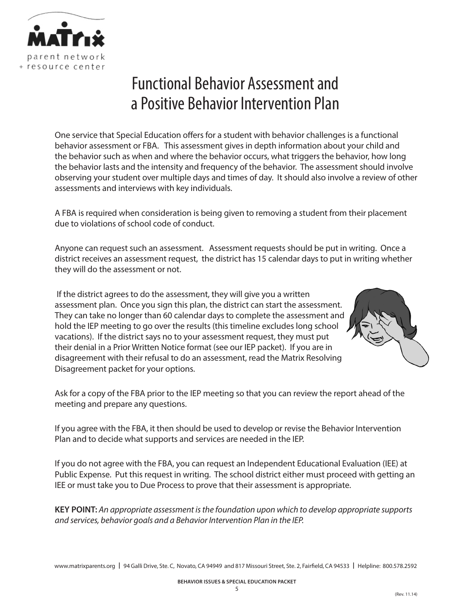

# Functional Behavior Assessment and a Positive Behavior Intervention Plan

One service that Special Education offers for a student with behavior challenges is a functional behavior assessment or FBA. This assessment gives in depth information about your child and the behavior such as when and where the behavior occurs, what triggers the behavior, how long the behavior lasts and the intensity and frequency of the behavior. The assessment should involve observing your student over multiple days and times of day. It should also involve a review of other assessments and interviews with key individuals.

A FBA is required when consideration is being given to removing a student from their placement due to violations of school code of conduct.

Anyone can request such an assessment. Assessment requests should be put in writing. Once a district receives an assessment request, the district has 15 calendar days to put in writing whether they will do the assessment or not.

 If the district agrees to do the assessment, they will give you a written assessment plan. Once you sign this plan, the district can start the assessment. They can take no longer than 60 calendar days to complete the assessment and hold the IEP meeting to go over the results (this timeline excludes long school vacations). If the district says no to your assessment request, they must put their denial in a Prior Written Notice format (see our IEP packet). If you are in disagreement with their refusal to do an assessment, read the Matrix Resolving Disagreement packet for your options.



Ask for a copy of the FBA prior to the IEP meeting so that you can review the report ahead of the meeting and prepare any questions.

If you agree with the FBA, it then should be used to develop or revise the Behavior Intervention Plan and to decide what supports and services are needed in the IEP.

If you do not agree with the FBA, you can request an Independent Educational Evaluation (IEE) at Public Expense. Put this request in writing. The school district either must proceed with getting an IEE or must take you to Due Process to prove that their assessment is appropriate.

**KEY POINT:** *An appropriate assessment is the foundation upon which to develop appropriate supports and services, behavior goals and a Behavior Intervention Plan in the IEP.*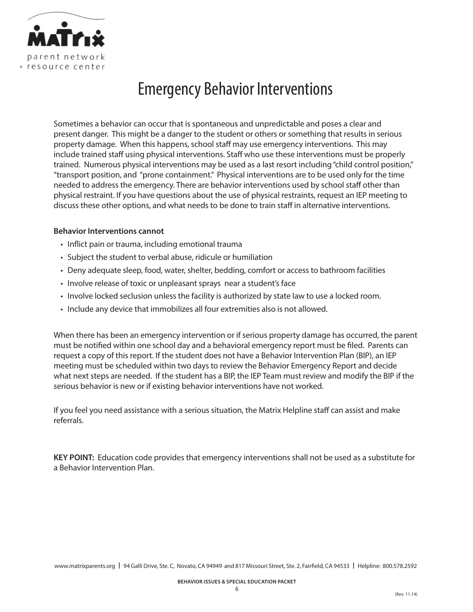

# Emergency Behavior Interventions

Sometimes a behavior can occur that is spontaneous and unpredictable and poses a clear and present danger. This might be a danger to the student or others or something that results in serious property damage. When this happens, school staff may use emergency interventions. This may include trained staff using physical interventions. Staff who use these interventions must be properly trained. Numerous physical interventions may be used as a last resort including "child control position," "transport position, and "prone containment." Physical interventions are to be used only for the time needed to address the emergency. There are behavior interventions used by school staff other than physical restraint. If you have questions about the use of physical restraints, request an IEP meeting to discuss these other options, and what needs to be done to train staff in alternative interventions.

### **Behavior Interventions cannot**

- Inflict pain or trauma, including emotional trauma
- Subject the student to verbal abuse, ridicule or humiliation
- • Deny adequate sleep, food, water, shelter, bedding, comfort or access to bathroom facilities
- Involve release of toxic or unpleasant sprays near a student's face
- • Involve locked seclusion unless the facility is authorized by state law to use a locked room.
- Include any device that immobilizes all four extremities also is not allowed.

When there has been an emergency intervention or if serious property damage has occurred, the parent must be notified within one school day and a behavioral emergency report must be filed. Parents can request a copy of this report. If the student does not have a Behavior Intervention Plan (BIP), an IEP meeting must be scheduled within two days to review the Behavior Emergency Report and decide what next steps are needed. If the student has a BIP, the IEP Team must review and modify the BIP if the serious behavior is new or if existing behavior interventions have not worked.

If you feel you need assistance with a serious situation, the Matrix Helpline staff can assist and make referrals.

**KEY POINT:** Education code provides that emergency interventions shall not be used as a substitute for a Behavior Intervention Plan.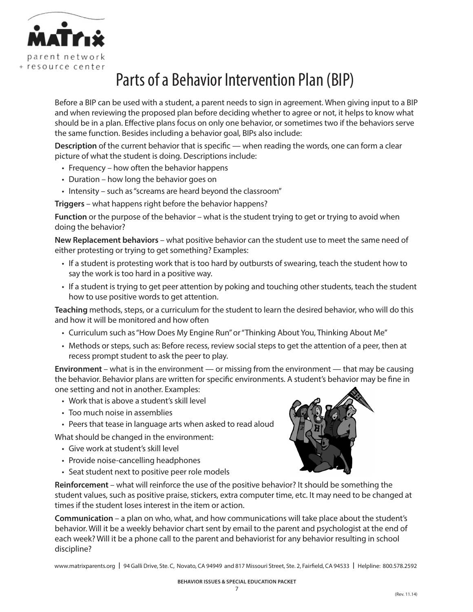

# Parts of a Behavior Intervention Plan (BIP)

Before a BIP can be used with a student, a parent needs to sign in agreement. When giving input to a BIP and when reviewing the proposed plan before deciding whether to agree or not, it helps to know what should be in a plan. Effective plans focus on only one behavior, or sometimes two if the behaviors serve the same function. Besides including a behavior goal, BIPs also include:

**Description** of the current behavior that is specific — when reading the words, one can form a clear picture of what the student is doing. Descriptions include:

- $\cdot$  Frequency how often the behavior happens
- Duration how long the behavior goes on
- Intensity such as "screams are heard beyond the classroom"

**Triggers** – what happens right before the behavior happens?

**Function** or the purpose of the behavior – what is the student trying to get or trying to avoid when doing the behavior?

**New Replacement behaviors** – what positive behavior can the student use to meet the same need of either protesting or trying to get something? Examples:

- If a student is protesting work that is too hard by outbursts of swearing, teach the student how to say the work is too hard in a positive way.
- If a student is trying to get peer attention by poking and touching other students, teach the student how to use positive words to get attention.

**Teaching** methods, steps, or a curriculum for the student to learn the desired behavior, who will do this and how it will be monitored and how often

- • Curriculum such as "How Does My Engine Run" or "Thinking About You, Thinking About Me"
- • Methods or steps, such as: Before recess, review social steps to get the attention of a peer, then at recess prompt student to ask the peer to play.

**Environment** – what is in the environment — or missing from the environment — that may be causing the behavior. Behavior plans are written for specific environments. A student's behavior may be fine in one setting and not in another. Examples:

- Work that is above a student's skill level
- Too much noise in assemblies
- Peers that tease in language arts when asked to read aloud

What should be changed in the environment:

- • Give work at student's skill level
- Provide noise-cancelling headphones
- • Seat student next to positive peer role models

**Reinforcement** – what will reinforce the use of the positive behavior? It should be something the student values, such as positive praise, stickers, extra computer time, etc. It may need to be changed at times if the student loses interest in the item or action.

**Communication** – a plan on who, what, and how communications will take place about the student's behavior. Will it be a weekly behavior chart sent by email to the parent and psychologist at the end of each week? Will it be a phone call to the parent and behaviorist for any behavior resulting in school discipline?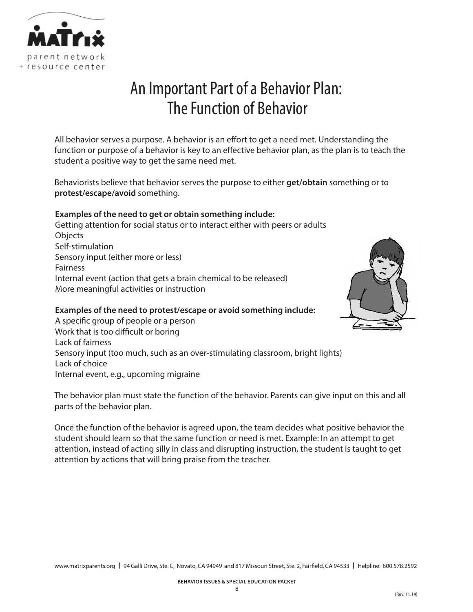

# An Important Part of a Behavior Plan: The Function of Behavior

All behavior serves a purpose. A behavior is an effort to get a need met. Understanding the function or purpose of a behavior is key to an effective behavior plan, as the plan is to teach the student a positive way to get the same need met.

Behaviorists believe that behavior serves the purpose to either **get/obtain** something or to **protest/escape/avoid** something.

### **Examples of the need to get or obtain something include:**

Getting attention for social status or to interact either with peers or adults **Objects** Self-stimulation Sensory input (either more or less) Fairness Internal event (action that gets a brain chemical to be released) More meaningful activities or instruction



### **Examples of the need to protest/escape or avoid something include:**

A specific group of people or a person Work that is too difficult or boring Lack of fairness Sensory input (too much, such as an over-stimulating classroom, bright lights) Lack of choice Internal event, e.g., upcoming migraine

The behavior plan must state the function of the behavior. Parents can give input on this and all parts of the behavior plan.

Once the function of the behavior is agreed upon, the team decides what positive behavior the student should learn so that the same function or need is met. Example: In an attempt to get attention, instead of acting silly in class and disrupting instruction, the student is taught to get attention by actions that will bring praise from the teacher.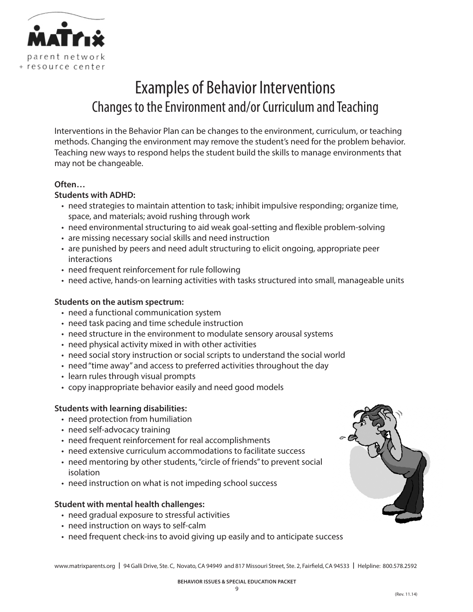

# Examples of Behavior Interventions Changes to the Environment and/or Curriculum and Teaching

Interventions in the Behavior Plan can be changes to the environment, curriculum, or teaching methods. Changing the environment may remove the student's need for the problem behavior. Teaching new ways to respond helps the student build the skills to manage environments that may not be changeable.

### **Often…**

### **Students with ADHD:**

- • need strategies to maintain attention to task; inhibit impulsive responding; organize time, space, and materials; avoid rushing through work
- need environmental structuring to aid weak goal-setting and flexible problem-solving
- are missing necessary social skills and need instruction
- • are punished by peers and need adult structuring to elicit ongoing, appropriate peer interactions
- need frequent reinforcement for rule following
- need active, hands-on learning activities with tasks structured into small, manageable units

### **Students on the autism spectrum:**

- need a functional communication system
- need task pacing and time schedule instruction
- need structure in the environment to modulate sensory arousal systems
- need physical activity mixed in with other activities
- need social story instruction or social scripts to understand the social world
- need "time away" and access to preferred activities throughout the day
- learn rules through visual prompts
- copy inappropriate behavior easily and need good models

### **Students with learning disabilities:**

- need protection from humiliation
- need self-advocacy training
- need frequent reinforcement for real accomplishments
- need extensive curriculum accommodations to facilitate success
- need mentoring by other students, "circle of friends" to prevent social isolation
- need instruction on what is not impeding school success

### **Student with mental health challenges:**

- need gradual exposure to stressful activities
- need instruction on ways to self-calm
- need frequent check-ins to avoid giving up easily and to anticipate success

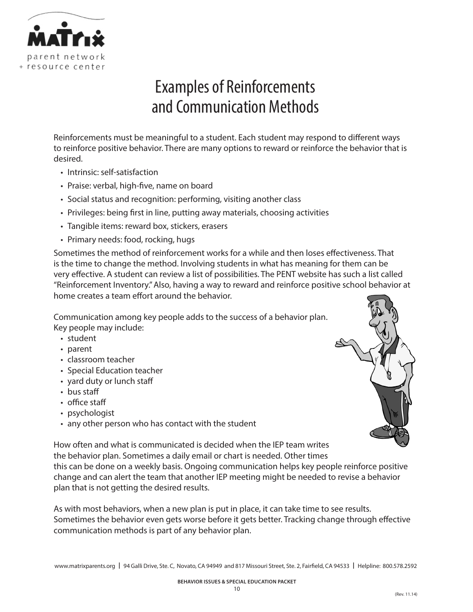

# Examples of Reinforcements and Communication Methods

Reinforcements must be meaningful to a student. Each student may respond to different ways to reinforce positive behavior. There are many options to reward or reinforce the behavior that is desired.

- Intrinsic: self-satisfaction
- Praise: verbal, high-five, name on board
- Social status and recognition: performing, visiting another class
- Privileges: being first in line, putting away materials, choosing activities
- Tangible items: reward box, stickers, erasers
- Primary needs: food, rocking, hugs

Sometimes the method of reinforcement works for a while and then loses effectiveness. That is the time to change the method. Involving students in what has meaning for them can be very effective. A student can review a list of possibilities. The PENT website has such a list called "Reinforcement Inventory." Also, having a way to reward and reinforce positive school behavior at home creates a team effort around the behavior.

Communication among key people adds to the success of a behavior plan. Key people may include:

- student
- • parent
- • classroom teacher
- Special Education teacher
- yard duty or lunch staff
- bus staff
- • office staff
- psychologist
- any other person who has contact with the student



How often and what is communicated is decided when the IEP team writes the behavior plan. Sometimes a daily email or chart is needed. Other times

this can be done on a weekly basis. Ongoing communication helps key people reinforce positive change and can alert the team that another IEP meeting might be needed to revise a behavior plan that is not getting the desired results.

As with most behaviors, when a new plan is put in place, it can take time to see results. Sometimes the behavior even gets worse before it gets better. Tracking change through effective communication methods is part of any behavior plan.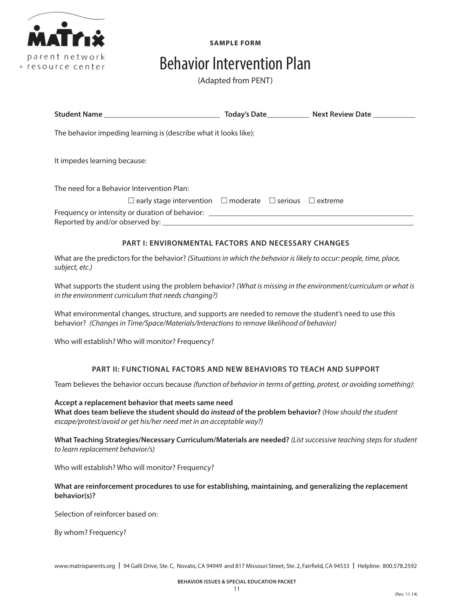

**SAMPLE FORM**

# Behavior Intervention Plan

(Adapted from PENT)

|                                                                               |  | Today's Date <b>Markthan Marktish Control Property</b> Next Review Date |
|-------------------------------------------------------------------------------|--|-------------------------------------------------------------------------|
| The behavior impeding learning is (describe what it looks like):              |  |                                                                         |
| It impedes learning because:                                                  |  |                                                                         |
| The need for a Behavior Intervention Plan:                                    |  |                                                                         |
| $\Box$ early stage intervention $\Box$ moderate $\Box$ serious $\Box$ extreme |  |                                                                         |
|                                                                               |  |                                                                         |

### **PART I: ENVIRONMENTAL FACTORS AND NECESSARY CHANGES**

What are the predictors for the behavior? *(Situations in which the behavior is likely to occur: people, time, place, subject, etc.)*

What supports the student using the problem behavior? *(What is missing in the environment/curriculum or what is in the environment curriculum that needs changing?)*

What environmental changes, structure, and supports are needed to remove the student's need to use this behavior? *(Changes in Time/Space/Materials/Interactions to remove likelihood of behavior)*

Who will establish? Who will monitor? Frequency?

### **PART II: FUNCTIONAL FACTORS AND NEW BEHAVIORS TO TEACH AND SUPPORT**

Team believes the behavior occurs because *(function of behavior in terms of getting, protest, or avoiding something)*:

**Accept a replacement behavior that meets same need What does team believe the student should do** *instead* **of the problem behavior?** *(How should the student escape/protest/avoid or get his/her need met in an acceptable way?)*

**What Teaching Strategies/Necessary Curriculum/Materials are needed?** *(List successive teaching steps for student to learn replacement behavior/s)*

Who will establish? Who will monitor? Frequency?

### **What are reinforcement procedures to use for establishing, maintaining, and generalizing the replacement behavior(s)?**

Selection of reinforcer based on:

By whom? Frequency?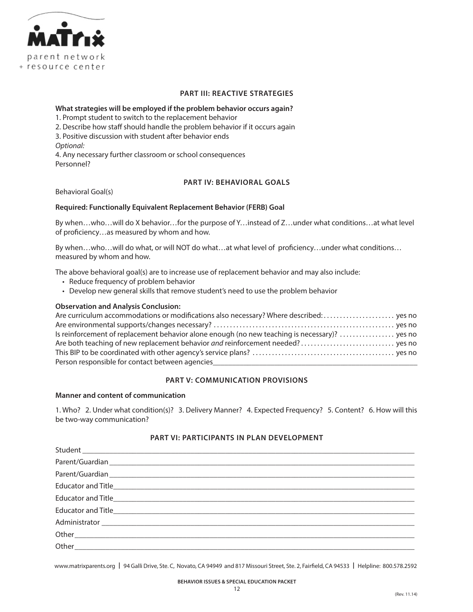

### **PART III: REACTIVE STRATEGIES**

### **What strategies will be employed if the problem behavior occurs again?**

1. Prompt student to switch to the replacement behavior

2. Describe how staff should handle the problem behavior if it occurs again

3. Positive discussion with student after behavior ends

*Optional:*

4. Any necessary further classroom or school consequences Personnel?

### **PART IV: BEHAVIORAL GOALS**

Behavioral Goal(s)

### **Required: Functionally Equivalent Replacement Behavior (FERB) Goal**

By when…who…will do X behavior…for the purpose of Y…instead of Z…under what conditions…at what level of proficiency…as measured by whom and how.

By when…who…will do what, or will NOT do what…at what level of proficiency…under what conditions… measured by whom and how.

The above behavioral goal(s) are to increase use of replacement behavior and may also include:

- • Reduce frequency of problem behavior
- • Develop new general skills that remove student's need to use the problem behavior

### **Observation and Analysis Conclusion:**

| Is reinforcement of replacement behavior alone enough (no new teaching is necessary)?  yes no |  |
|-----------------------------------------------------------------------------------------------|--|
|                                                                                               |  |
|                                                                                               |  |
| Person responsible for contact between agencies                                               |  |

### **PART V: COMMUNICATION PROVISIONS**

### **Manner and content of communication**

1. Who? 2. Under what condition(s)? 3. Delivery Manner? 4. Expected Frequency? 5. Content? 6. How will this be two-way communication?

### **PART VI: PARTICIPANTS IN PLAN DEVELOPMENT**

| Student |
|---------|
|         |
|         |
|         |
|         |
|         |
|         |
|         |
|         |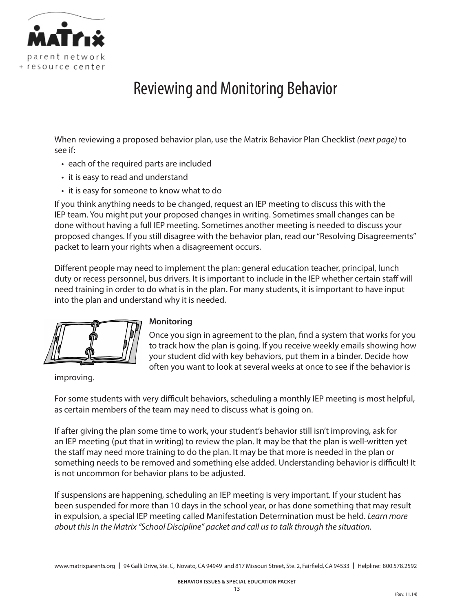

# Reviewing and Monitoring Behavior

When reviewing a proposed behavior plan, use the Matrix Behavior Plan Checklist *(next page)* to see if:

- each of the required parts are included
- it is easy to read and understand
- it is easy for someone to know what to do

If you think anything needs to be changed, request an IEP meeting to discuss this with the IEP team. You might put your proposed changes in writing. Sometimes small changes can be done without having a full IEP meeting. Sometimes another meeting is needed to discuss your proposed changes. If you still disagree with the behavior plan, read our "Resolving Disagreements" packet to learn your rights when a disagreement occurs.

Different people may need to implement the plan: general education teacher, principal, lunch duty or recess personnel, bus drivers. It is important to include in the IEP whether certain staff will need training in order to do what is in the plan. For many students, it is important to have input into the plan and understand why it is needed.

### **Monitoring**

Once you sign in agreement to the plan, find a system that works for you to track how the plan is going. If you receive weekly emails showing how your student did with key behaviors, put them in a binder. Decide how often you want to look at several weeks at once to see if the behavior is

improving.

For some students with very difficult behaviors, scheduling a monthly IEP meeting is most helpful, as certain members of the team may need to discuss what is going on.

If after giving the plan some time to work, your student's behavior still isn't improving, ask for an IEP meeting (put that in writing) to review the plan. It may be that the plan is well-written yet the staff may need more training to do the plan. It may be that more is needed in the plan or something needs to be removed and something else added. Understanding behavior is difficult! It is not uncommon for behavior plans to be adjusted.

If suspensions are happening, scheduling an IEP meeting is very important. If your student has been suspended for more than 10 days in the school year, or has done something that may result in expulsion, a special IEP meeting called Manifestation Determination must be held. *Learn more about this in the Matrix "School Discipline" packet and call us to talk through the situation.*